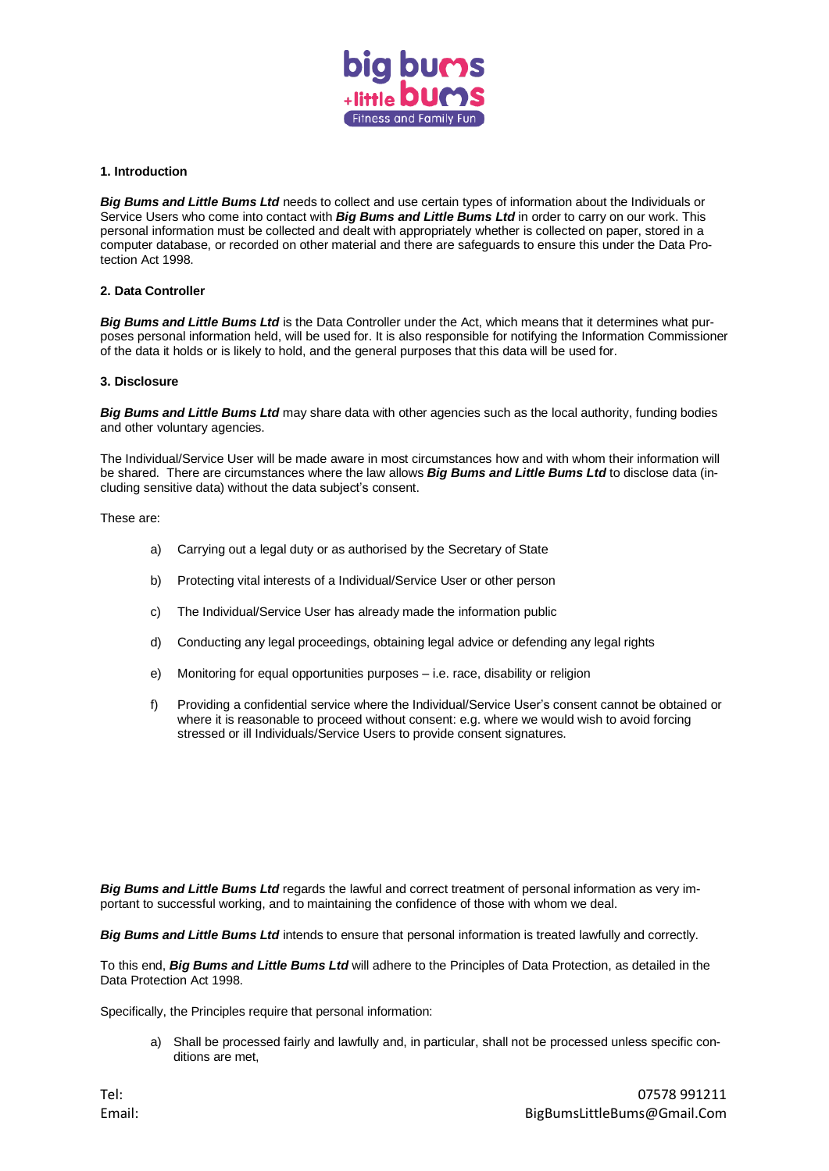

## **1. Introduction**

*Big Bums and Little Bums Ltd* needs to collect and use certain types of information about the Individuals or Service Users who come into contact with *Big Bums and Little Bums Ltd* in order to carry on our work. This personal information must be collected and dealt with appropriately whether is collected on paper, stored in a computer database, or recorded on other material and there are safeguards to ensure this under the Data Protection Act 1998.

# **2. Data Controller**

*Big Bums and Little Bums Ltd* is the Data Controller under the Act, which means that it determines what purposes personal information held, will be used for. It is also responsible for notifying the Information Commissioner of the data it holds or is likely to hold, and the general purposes that this data will be used for.

### **3. Disclosure**

*Big Bums and Little Bums Ltd* may share data with other agencies such as the local authority, funding bodies and other voluntary agencies.

The Individual/Service User will be made aware in most circumstances how and with whom their information will be shared. There are circumstances where the law allows *Big Bums and Little Bums Ltd* to disclose data (including sensitive data) without the data subject's consent.

These are:

- a) Carrying out a legal duty or as authorised by the Secretary of State
- b) Protecting vital interests of a Individual/Service User or other person
- c) The Individual/Service User has already made the information public
- d) Conducting any legal proceedings, obtaining legal advice or defending any legal rights
- e) Monitoring for equal opportunities purposes i.e. race, disability or religion
- f) Providing a confidential service where the Individual/Service User's consent cannot be obtained or where it is reasonable to proceed without consent: e.g. where we would wish to avoid forcing stressed or ill Individuals/Service Users to provide consent signatures.

*Big Bums and Little Bums Ltd* regards the lawful and correct treatment of personal information as very important to successful working, and to maintaining the confidence of those with whom we deal.

*Big Bums and Little Bums Ltd* intends to ensure that personal information is treated lawfully and correctly.

To this end, *Big Bums and Little Bums Ltd* will adhere to the Principles of Data Protection, as detailed in the Data Protection Act 1998.

Specifically, the Principles require that personal information:

a) Shall be processed fairly and lawfully and, in particular, shall not be processed unless specific conditions are met,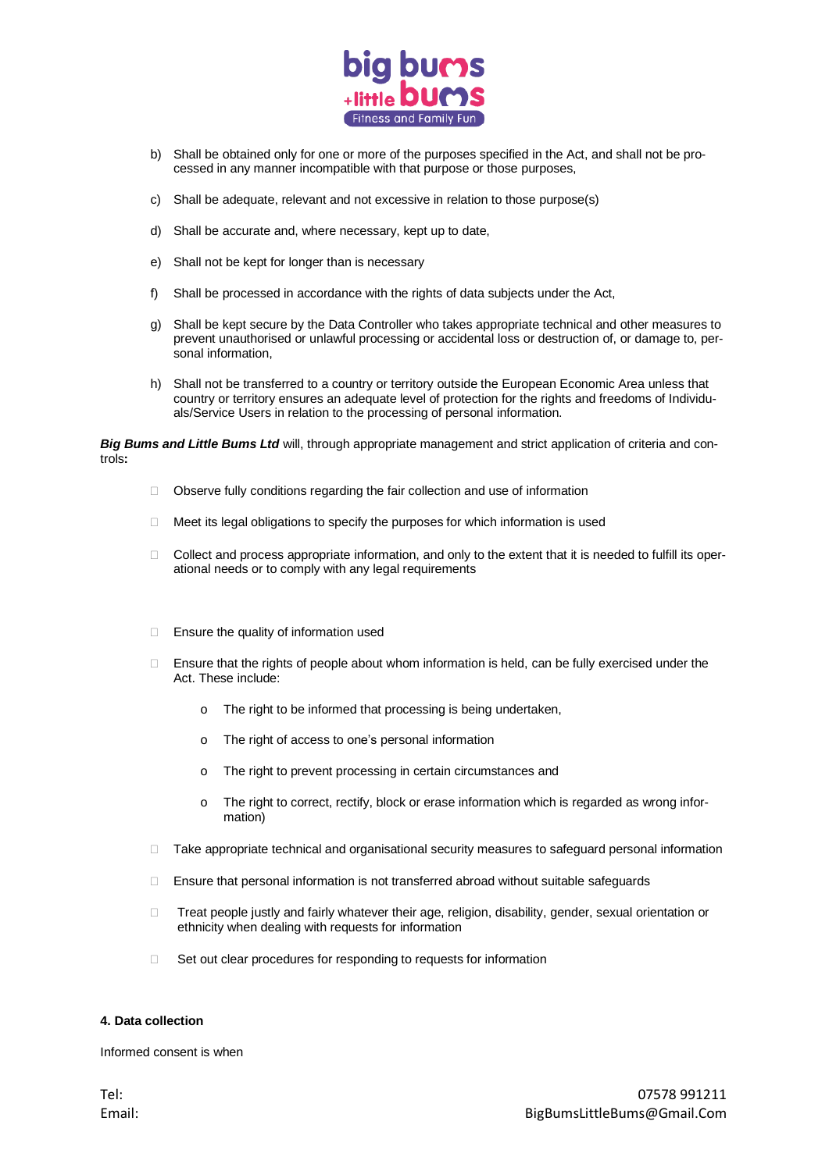

- b) Shall be obtained only for one or more of the purposes specified in the Act, and shall not be processed in any manner incompatible with that purpose or those purposes,
- c) Shall be adequate, relevant and not excessive in relation to those purpose(s)
- d) Shall be accurate and, where necessary, kept up to date,
- e) Shall not be kept for longer than is necessary
- f) Shall be processed in accordance with the rights of data subjects under the Act,
- g) Shall be kept secure by the Data Controller who takes appropriate technical and other measures to prevent unauthorised or unlawful processing or accidental loss or destruction of, or damage to, personal information,
- h) Shall not be transferred to a country or territory outside the European Economic Area unless that country or territory ensures an adequate level of protection for the rights and freedoms of Individuals/Service Users in relation to the processing of personal information.

*Big Bums and Little Bums Ltd* will, through appropriate management and strict application of criteria and controls**:**

- Observe fully conditions regarding the fair collection and use of information
- $\Box$  Meet its legal obligations to specify the purposes for which information is used
- $\Box$  Collect and process appropriate information, and only to the extent that it is needed to fulfill its operational needs or to comply with any legal requirements
- $\Box$  Ensure the quality of information used
- □ Ensure that the rights of people about whom information is held, can be fully exercised under the Act. These include:
	- o The right to be informed that processing is being undertaken,
	- o The right of access to one's personal information
	- o The right to prevent processing in certain circumstances and
	- o The right to correct, rectify, block or erase information which is regarded as wrong information)
- $\Box$  Take appropriate technical and organisational security measures to safeguard personal information
- □ Ensure that personal information is not transferred abroad without suitable safeguards
- □ Treat people justly and fairly whatever their age, religion, disability, gender, sexual orientation or ethnicity when dealing with requests for information
- $\Box$  Set out clear procedures for responding to requests for information

### **4. Data collection**

Informed consent is when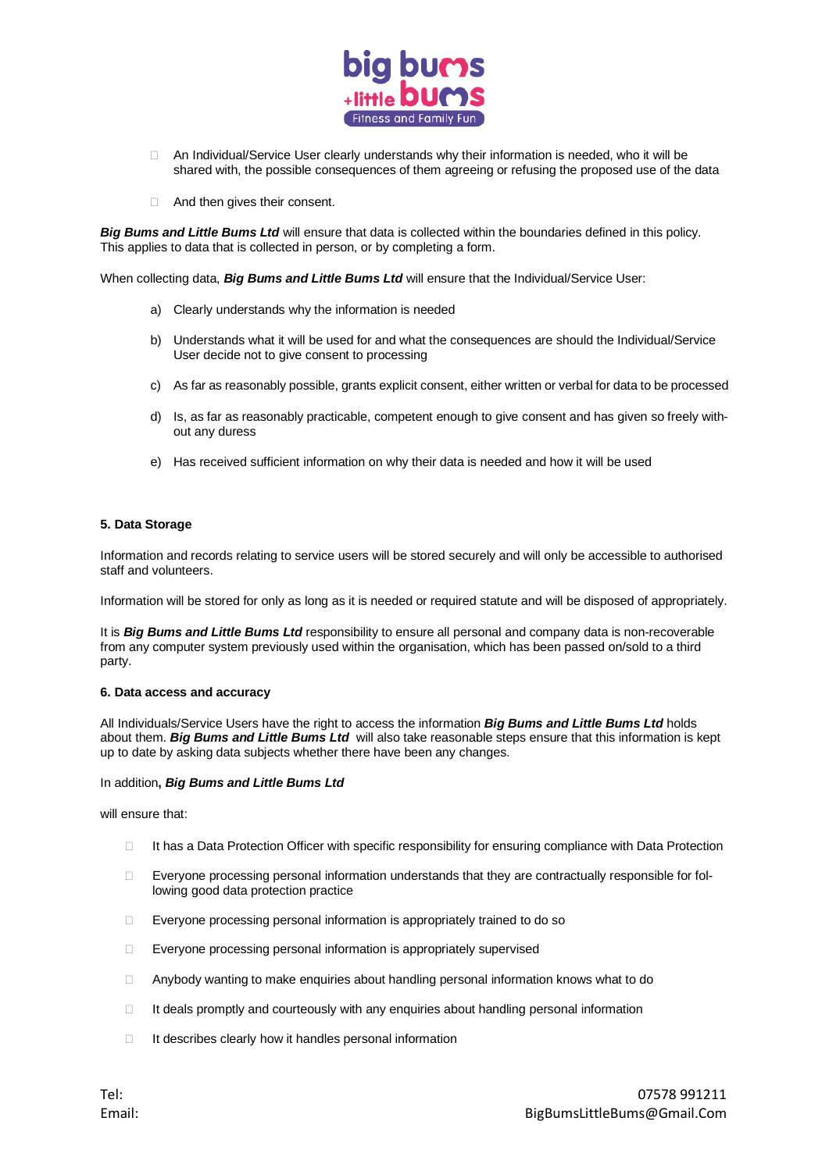

- □ An Individual/Service User clearly understands why their information is needed, who it will be shared with, the possible consequences of them agreeing or refusing the proposed use of the data
- □ And then gives their consent.

*Big Bums and Little Bums Ltd* will ensure that data is collected within the boundaries defined in this policy. This applies to data that is collected in person, or by completing a form.

When collecting data, *Big Bums and Little Bums Ltd* will ensure that the Individual/Service User:

- a) Clearly understands why the information is needed
- b) Understands what it will be used for and what the consequences are should the Individual/Service User decide not to give consent to processing
- c) As far as reasonably possible, grants explicit consent, either written or verbal for data to be processed
- d) Is, as far as reasonably practicable, competent enough to give consent and has given so freely without any duress
- e) Has received sufficient information on why their data is needed and how it will be used

# **5. Data Storage**

Information and records relating to service users will be stored securely and will only be accessible to authorised staff and volunteers.

Information will be stored for only as long as it is needed or required statute and will be disposed of appropriately.

It is *Big Bums and Little Bums Ltd* responsibility to ensure all personal and company data is non-recoverable from any computer system previously used within the organisation, which has been passed on/sold to a third party.

### **6. Data access and accuracy**

All Individuals/Service Users have the right to access the information *Big Bums and Little Bums Ltd* holds about them. *Big Bums and Little Bums Ltd* will also take reasonable steps ensure that this information is kept up to date by asking data subjects whether there have been any changes.

## In addition**,** *Big Bums and Little Bums Ltd*

will ensure that:

- □ It has a Data Protection Officer with specific responsibility for ensuring compliance with Data Protection
- $\Box$  Everyone processing personal information understands that they are contractually responsible for following good data protection practice
- □ Everyone processing personal information is appropriately trained to do so
- Everyone processing personal information is appropriately supervised
- $\Box$  Anybody wanting to make enquiries about handling personal information knows what to do
- $\Box$  It deals promptly and courteously with any enquiries about handling personal information
- $\Box$  It describes clearly how it handles personal information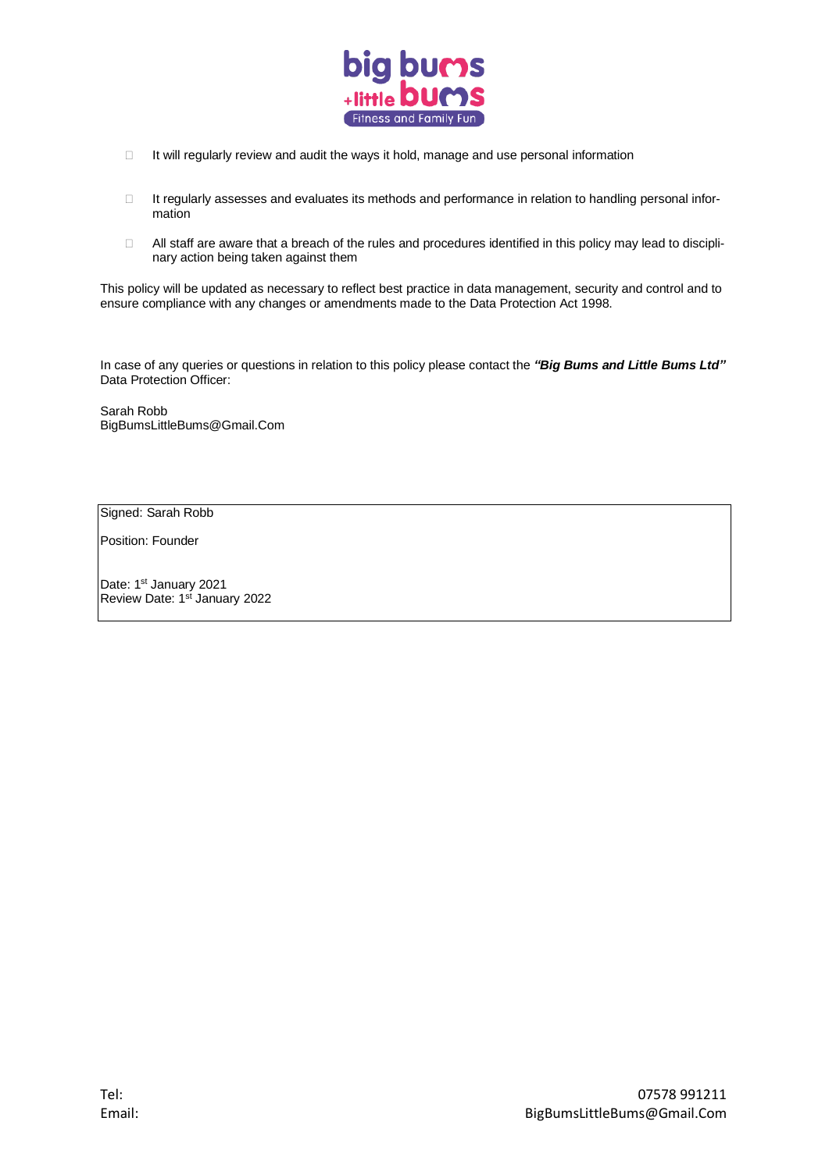

- $\Box$  It will regularly review and audit the ways it hold, manage and use personal information
- □ It regularly assesses and evaluates its methods and performance in relation to handling personal information
- All staff are aware that a breach of the rules and procedures identified in this policy may lead to disciplinary action being taken against them

This policy will be updated as necessary to reflect best practice in data management, security and control and to ensure compliance with any changes or amendments made to the Data Protection Act 1998.

In case of any queries or questions in relation to this policy please contact the *"Big Bums and Little Bums Ltd"* Data Protection Officer:

Sarah Robb BigBumsLittleBums@Gmail.Com

Signed: Sarah Robb

Position: Founder

Date: 1<sup>st</sup> January 2021 Review Date: 1<sup>st</sup> January 2022